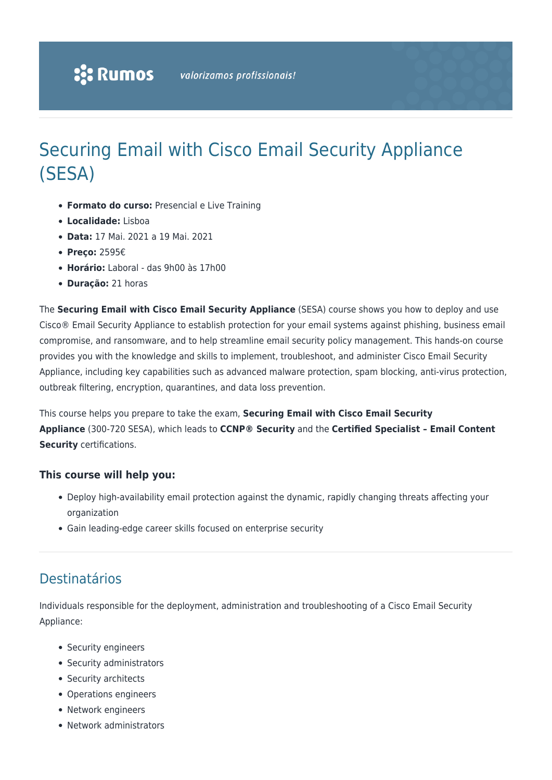# Securing Email with Cisco Email Security Appliance (SESA)

- **Formato do curso:** Presencial e Live Training
- **Localidade:** Lisboa
- **Data:** 17 Mai. 2021 a 19 Mai. 2021
- **Preço:** 2595€
- **Horário:** Laboral das 9h00 às 17h00
- **Duração:** 21 horas

The **Securing Email with Cisco Email Security Appliance** (SESA) course shows you how to deploy and use Cisco® Email Security Appliance to establish protection for your email systems against phishing, business email compromise, and ransomware, and to help streamline email security policy management. This hands-on course provides you with the knowledge and skills to implement, troubleshoot, and administer Cisco Email Security Appliance, including key capabilities such as advanced malware protection, spam blocking, anti-virus protection, outbreak filtering, encryption, quarantines, and data loss prevention.

This course helps you prepare to take the exam, **Securing Email with Cisco Email Security Appliance** (300-720 SESA), which leads to **CCNP® Security** and the **Certified Specialist – Email Content Security** certifications.

#### **This course will help you:**

- Deploy high-availability email protection against the dynamic, rapidly changing threats affecting your organization
- Gain leading-edge career skills focused on enterprise security

### Destinatários

Individuals responsible for the deployment, administration and troubleshooting of a Cisco Email Security Appliance:

- Security engineers
- Security administrators
- Security architects
- Operations engineers
- Network engineers
- Network administrators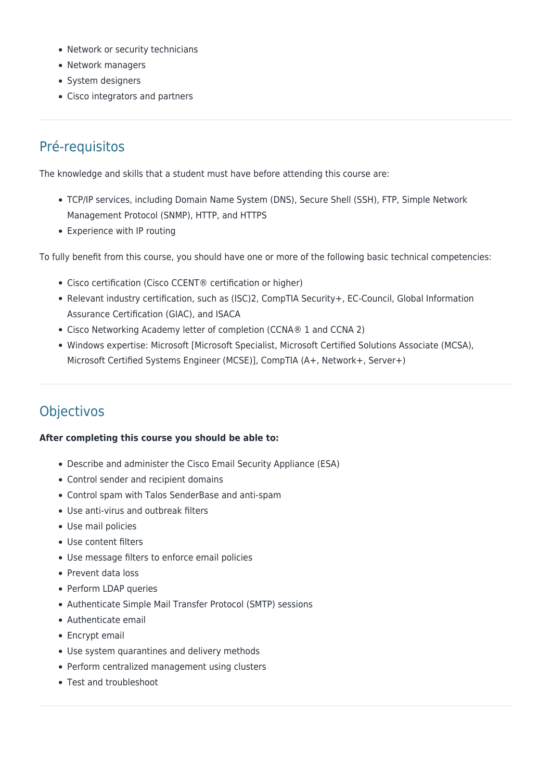- Network or security technicians
- Network managers
- System designers
- Cisco integrators and partners

### Pré-requisitos

The knowledge and skills that a student must have before attending this course are:

- TCP/IP services, including Domain Name System (DNS), Secure Shell (SSH), FTP, Simple Network Management Protocol (SNMP), HTTP, and HTTPS
- Experience with IP routing

To fully benefit from this course, you should have one or more of the following basic technical competencies:

- Cisco certification (Cisco CCENT® certification or higher)
- Relevant industry certification, such as (ISC)2, CompTIA Security+, EC-Council, Global Information Assurance Certification (GIAC), and ISACA
- Cisco Networking Academy letter of completion (CCNA® 1 and CCNA 2)
- Windows expertise: Microsoft [Microsoft Specialist, Microsoft Certified Solutions Associate (MCSA), Microsoft Certified Systems Engineer (MCSE)], CompTIA (A+, Network+, Server+)

### **Objectivos**

#### **After completing this course you should be able to:**

- Describe and administer the Cisco Email Security Appliance (ESA)
- Control sender and recipient domains
- Control spam with Talos SenderBase and anti-spam
- Use anti-virus and outbreak filters
- Use mail policies
- Use content filters
- Use message filters to enforce email policies
- Prevent data loss
- Perform LDAP queries
- Authenticate Simple Mail Transfer Protocol (SMTP) sessions
- Authenticate email
- Encrypt email
- Use system quarantines and delivery methods
- Perform centralized management using clusters
- Test and troubleshoot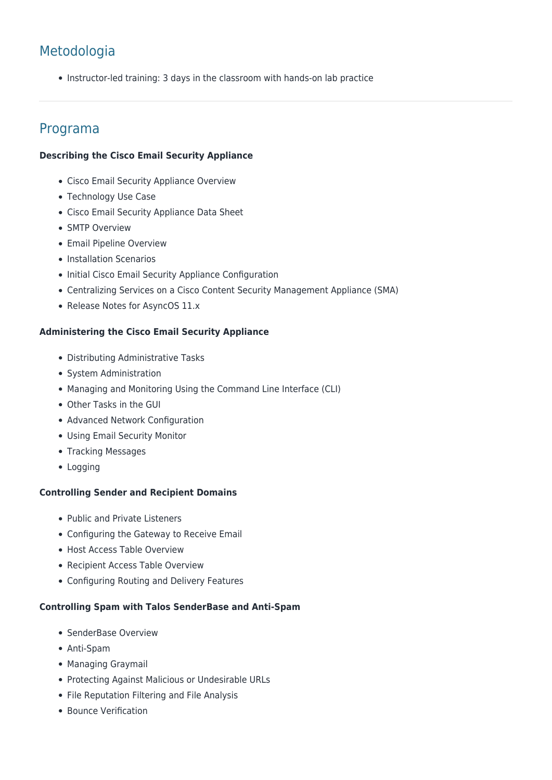## Metodologia

• Instructor-led training: 3 days in the classroom with hands-on lab practice

### Programa

#### **Describing the Cisco Email Security Appliance**

- Cisco Email Security Appliance Overview
- Technology Use Case
- Cisco Email Security Appliance Data Sheet
- SMTP Overview
- Email Pipeline Overview
- Installation Scenarios
- Initial Cisco Email Security Appliance Configuration
- Centralizing Services on a Cisco Content Security Management Appliance (SMA)
- Release Notes for AsyncOS 11.x

#### **Administering the Cisco Email Security Appliance**

- Distributing Administrative Tasks
- System Administration
- Managing and Monitoring Using the Command Line Interface (CLI)
- Other Tasks in the GUI
- Advanced Network Configuration
- Using Email Security Monitor
- Tracking Messages
- Logging

#### **Controlling Sender and Recipient Domains**

- Public and Private Listeners
- Configuring the Gateway to Receive Email
- Host Access Table Overview
- Recipient Access Table Overview
- Configuring Routing and Delivery Features

#### **Controlling Spam with Talos SenderBase and Anti-Spam**

- SenderBase Overview
- Anti-Spam
- Managing Graymail
- Protecting Against Malicious or Undesirable URLs
- File Reputation Filtering and File Analysis
- Bounce Verification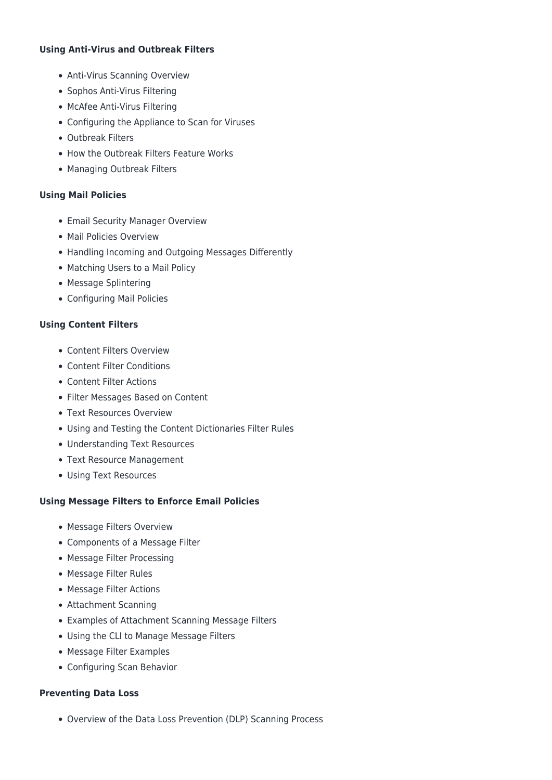#### **Using Anti-Virus and Outbreak Filters**

- Anti-Virus Scanning Overview
- Sophos Anti-Virus Filtering
- McAfee Anti-Virus Filtering
- Configuring the Appliance to Scan for Viruses
- Outbreak Filters
- How the Outbreak Filters Feature Works
- Managing Outbreak Filters

#### **Using Mail Policies**

- Email Security Manager Overview
- Mail Policies Overview
- Handling Incoming and Outgoing Messages Differently
- Matching Users to a Mail Policy
- Message Splintering
- Configuring Mail Policies

#### **Using Content Filters**

- Content Filters Overview
- Content Filter Conditions
- Content Filter Actions
- Filter Messages Based on Content
- Text Resources Overview
- Using and Testing the Content Dictionaries Filter Rules
- Understanding Text Resources
- Text Resource Management
- Using Text Resources

#### **Using Message Filters to Enforce Email Policies**

- Message Filters Overview
- Components of a Message Filter
- Message Filter Processing
- Message Filter Rules
- Message Filter Actions
- Attachment Scanning
- Examples of Attachment Scanning Message Filters
- Using the CLI to Manage Message Filters
- Message Filter Examples
- Configuring Scan Behavior

#### **Preventing Data Loss**

Overview of the Data Loss Prevention (DLP) Scanning Process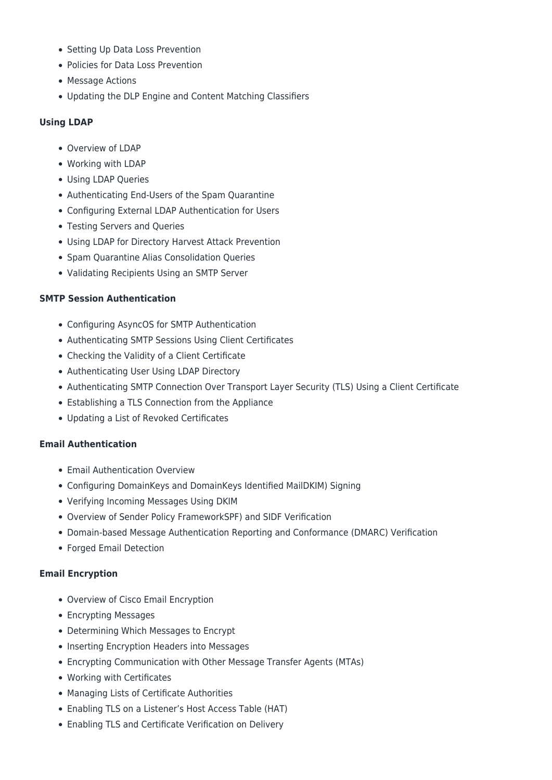- Setting Up Data Loss Prevention
- Policies for Data Loss Prevention
- Message Actions
- Updating the DLP Engine and Content Matching Classifiers

#### **Using LDAP**

- Overview of LDAP
- Working with LDAP
- Using LDAP Queries
- Authenticating End-Users of the Spam Quarantine
- Configuring External LDAP Authentication for Users
- Testing Servers and Queries
- Using LDAP for Directory Harvest Attack Prevention
- Spam Quarantine Alias Consolidation Queries
- Validating Recipients Using an SMTP Server

#### **SMTP Session Authentication**

- Configuring AsyncOS for SMTP Authentication
- Authenticating SMTP Sessions Using Client Certificates
- Checking the Validity of a Client Certificate
- Authenticating User Using LDAP Directory
- Authenticating SMTP Connection Over Transport Layer Security (TLS) Using a Client Certificate
- Establishing a TLS Connection from the Appliance
- Updating a List of Revoked Certificates

#### **Email Authentication**

- Email Authentication Overview
- Configuring DomainKeys and DomainKeys Identified MailDKIM) Signing
- Verifying Incoming Messages Using DKIM
- Overview of Sender Policy FrameworkSPF) and SIDF Verification
- Domain-based Message Authentication Reporting and Conformance (DMARC) Verification
- Forged Email Detection

#### **Email Encryption**

- Overview of Cisco Email Encryption
- Encrypting Messages
- Determining Which Messages to Encrypt
- Inserting Encryption Headers into Messages
- Encrypting Communication with Other Message Transfer Agents (MTAs)
- Working with Certificates
- Managing Lists of Certificate Authorities
- Enabling TLS on a Listener's Host Access Table (HAT)
- Enabling TLS and Certificate Verification on Delivery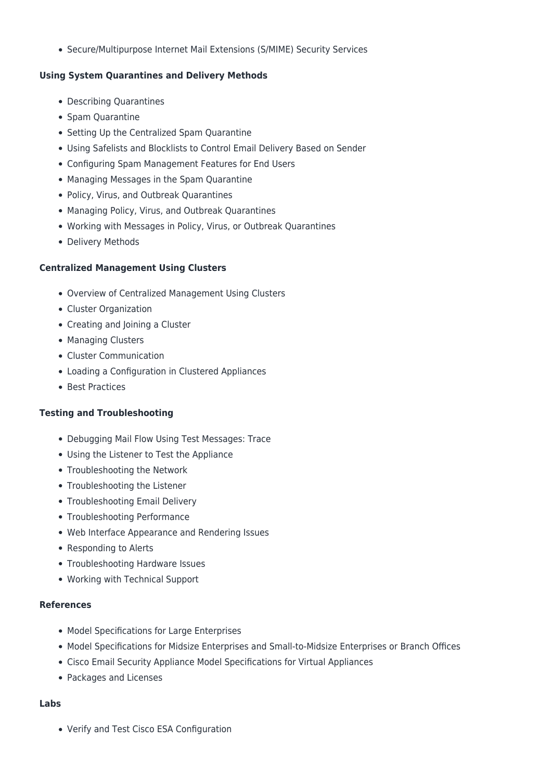Secure/Multipurpose Internet Mail Extensions (S/MIME) Security Services

#### **Using System Quarantines and Delivery Methods**

- Describing Quarantines
- Spam Quarantine
- Setting Up the Centralized Spam Quarantine
- Using Safelists and Blocklists to Control Email Delivery Based on Sender
- Configuring Spam Management Features for End Users
- Managing Messages in the Spam Quarantine
- Policy, Virus, and Outbreak Quarantines
- Managing Policy, Virus, and Outbreak Quarantines
- Working with Messages in Policy, Virus, or Outbreak Quarantines
- Delivery Methods

#### **Centralized Management Using Clusters**

- Overview of Centralized Management Using Clusters
- Cluster Organization
- Creating and Joining a Cluster
- Managing Clusters
- Cluster Communication
- Loading a Configuration in Clustered Appliances
- Best Practices

#### **Testing and Troubleshooting**

- Debugging Mail Flow Using Test Messages: Trace
- Using the Listener to Test the Appliance
- Troubleshooting the Network
- Troubleshooting the Listener
- Troubleshooting Email Delivery
- Troubleshooting Performance
- Web Interface Appearance and Rendering Issues
- Responding to Alerts
- Troubleshooting Hardware Issues
- Working with Technical Support

#### **References**

- Model Specifications for Large Enterprises
- Model Specifications for Midsize Enterprises and Small-to-Midsize Enterprises or Branch Offices
- Cisco Email Security Appliance Model Specifications for Virtual Appliances
- Packages and Licenses

#### **Labs**

Verify and Test Cisco ESA Configuration